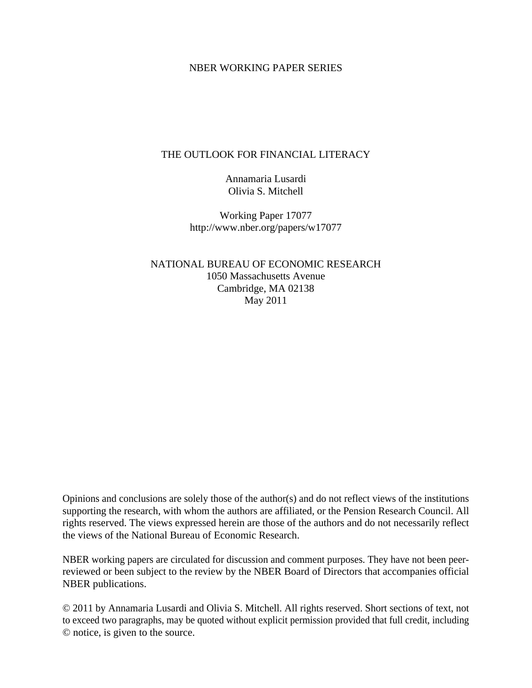# NBER WORKING PAPER SERIES

# THE OUTLOOK FOR FINANCIAL LITERACY

Annamaria Lusardi Olivia S. Mitchell

Working Paper 17077 http://www.nber.org/papers/w17077

NATIONAL BUREAU OF ECONOMIC RESEARCH 1050 Massachusetts Avenue Cambridge, MA 02138 May 2011

Opinions and conclusions are solely those of the author(s) and do not reflect views of the institutions supporting the research, with whom the authors are affiliated, or the Pension Research Council. All rights reserved. The views expressed herein are those of the authors and do not necessarily reflect the views of the National Bureau of Economic Research.

NBER working papers are circulated for discussion and comment purposes. They have not been peerreviewed or been subject to the review by the NBER Board of Directors that accompanies official NBER publications.

© 2011 by Annamaria Lusardi and Olivia S. Mitchell. All rights reserved. Short sections of text, not to exceed two paragraphs, may be quoted without explicit permission provided that full credit, including © notice, is given to the source.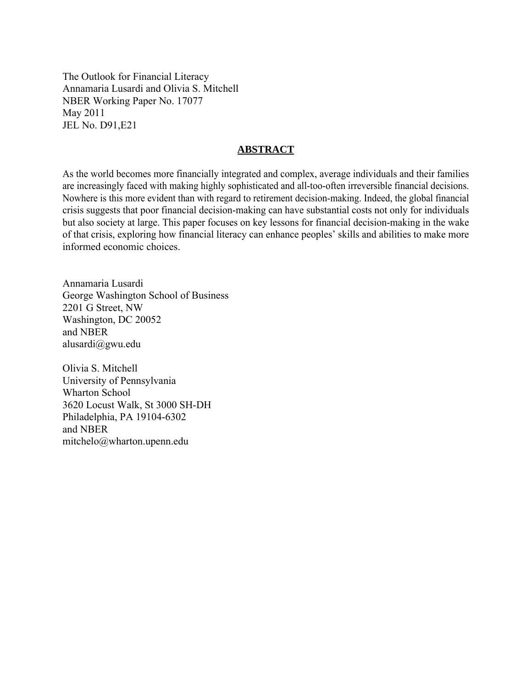The Outlook for Financial Literacy Annamaria Lusardi and Olivia S. Mitchell NBER Working Paper No. 17077 May 2011 JEL No. D91,E21

## **ABSTRACT**

As the world becomes more financially integrated and complex, average individuals and their families are increasingly faced with making highly sophisticated and all-too-often irreversible financial decisions. Nowhere is this more evident than with regard to retirement decision-making. Indeed, the global financial crisis suggests that poor financial decision-making can have substantial costs not only for individuals but also society at large. This paper focuses on key lessons for financial decision-making in the wake of that crisis, exploring how financial literacy can enhance peoples' skills and abilities to make more informed economic choices.

Annamaria Lusardi George Washington School of Business 2201 G Street, NW Washington, DC 20052 and NBER alusardi@gwu.edu

Olivia S. Mitchell University of Pennsylvania Wharton School 3620 Locust Walk, St 3000 SH-DH Philadelphia, PA 19104-6302 and NBER mitchelo@wharton.upenn.edu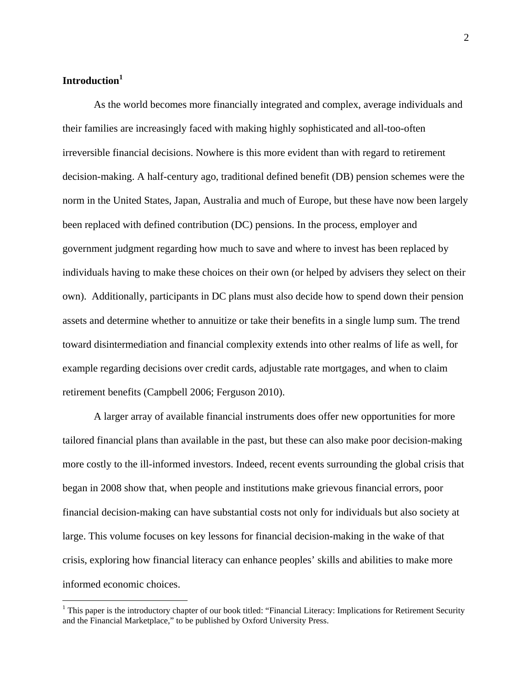# **Introduction1**

 $\overline{a}$ 

As the world becomes more financially integrated and complex, average individuals and their families are increasingly faced with making highly sophisticated and all-too-often irreversible financial decisions. Nowhere is this more evident than with regard to retirement decision-making. A half-century ago, traditional defined benefit (DB) pension schemes were the norm in the United States, Japan, Australia and much of Europe, but these have now been largely been replaced with defined contribution (DC) pensions. In the process, employer and government judgment regarding how much to save and where to invest has been replaced by individuals having to make these choices on their own (or helped by advisers they select on their own). Additionally, participants in DC plans must also decide how to spend down their pension assets and determine whether to annuitize or take their benefits in a single lump sum. The trend toward disintermediation and financial complexity extends into other realms of life as well, for example regarding decisions over credit cards, adjustable rate mortgages, and when to claim retirement benefits (Campbell 2006; Ferguson 2010).

A larger array of available financial instruments does offer new opportunities for more tailored financial plans than available in the past, but these can also make poor decision-making more costly to the ill-informed investors. Indeed, recent events surrounding the global crisis that began in 2008 show that, when people and institutions make grievous financial errors, poor financial decision-making can have substantial costs not only for individuals but also society at large. This volume focuses on key lessons for financial decision-making in the wake of that crisis, exploring how financial literacy can enhance peoples' skills and abilities to make more informed economic choices.

<sup>&</sup>lt;sup>1</sup> This paper is the introductory chapter of our book titled: "Financial Literacy: Implications for Retirement Security and the Financial Marketplace," to be published by Oxford University Press.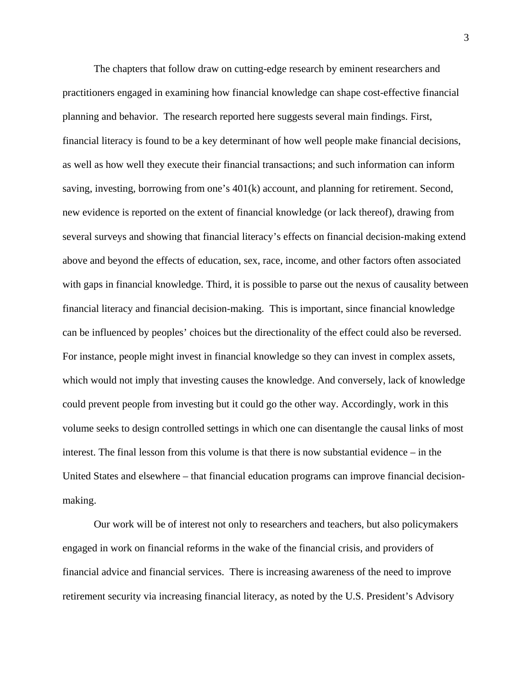The chapters that follow draw on cutting-edge research by eminent researchers and practitioners engaged in examining how financial knowledge can shape cost-effective financial planning and behavior. The research reported here suggests several main findings. First, financial literacy is found to be a key determinant of how well people make financial decisions, as well as how well they execute their financial transactions; and such information can inform saving, investing, borrowing from one's 401(k) account, and planning for retirement. Second, new evidence is reported on the extent of financial knowledge (or lack thereof), drawing from several surveys and showing that financial literacy's effects on financial decision-making extend above and beyond the effects of education, sex, race, income, and other factors often associated with gaps in financial knowledge. Third, it is possible to parse out the nexus of causality between financial literacy and financial decision-making. This is important, since financial knowledge can be influenced by peoples' choices but the directionality of the effect could also be reversed. For instance, people might invest in financial knowledge so they can invest in complex assets, which would not imply that investing causes the knowledge. And conversely, lack of knowledge could prevent people from investing but it could go the other way. Accordingly, work in this volume seeks to design controlled settings in which one can disentangle the causal links of most interest. The final lesson from this volume is that there is now substantial evidence – in the United States and elsewhere – that financial education programs can improve financial decisionmaking.

Our work will be of interest not only to researchers and teachers, but also policymakers engaged in work on financial reforms in the wake of the financial crisis, and providers of financial advice and financial services. There is increasing awareness of the need to improve retirement security via increasing financial literacy, as noted by the U.S. President's Advisory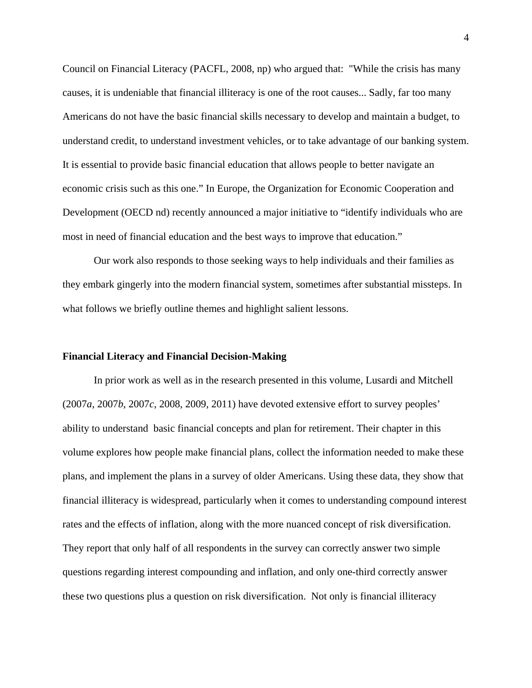Council on Financial Literacy (PACFL, 2008, np) who argued that: "While the crisis has many causes, it is undeniable that financial illiteracy is one of the root causes... Sadly, far too many Americans do not have the basic financial skills necessary to develop and maintain a budget, to understand credit, to understand investment vehicles, or to take advantage of our banking system. It is essential to provide basic financial education that allows people to better navigate an economic crisis such as this one." In Europe, the Organization for Economic Cooperation and Development (OECD nd) recently announced a major initiative to "identify individuals who are most in need of financial education and the best ways to improve that education."

Our work also responds to those seeking ways to help individuals and their families as they embark gingerly into the modern financial system, sometimes after substantial missteps. In what follows we briefly outline themes and highlight salient lessons.

#### **Financial Literacy and Financial Decision-Making**

In prior work as well as in the research presented in this volume, Lusardi and Mitchell (2007*a*, 2007*b*, 2007*c*, 2008, 2009, 2011) have devoted extensive effort to survey peoples' ability to understand basic financial concepts and plan for retirement. Their chapter in this volume explores how people make financial plans, collect the information needed to make these plans, and implement the plans in a survey of older Americans. Using these data, they show that financial illiteracy is widespread, particularly when it comes to understanding compound interest rates and the effects of inflation, along with the more nuanced concept of risk diversification. They report that only half of all respondents in the survey can correctly answer two simple questions regarding interest compounding and inflation, and only one-third correctly answer these two questions plus a question on risk diversification. Not only is financial illiteracy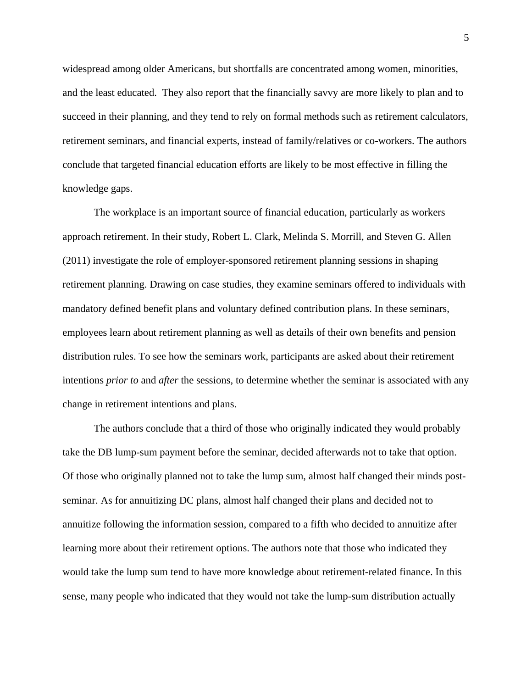widespread among older Americans, but shortfalls are concentrated among women, minorities, and the least educated. They also report that the financially savvy are more likely to plan and to succeed in their planning, and they tend to rely on formal methods such as retirement calculators, retirement seminars, and financial experts, instead of family/relatives or co-workers. The authors conclude that targeted financial education efforts are likely to be most effective in filling the knowledge gaps.

The workplace is an important source of financial education, particularly as workers approach retirement. In their study, Robert L. Clark, Melinda S. Morrill, and Steven G. Allen (2011) investigate the role of employer-sponsored retirement planning sessions in shaping retirement planning. Drawing on case studies, they examine seminars offered to individuals with mandatory defined benefit plans and voluntary defined contribution plans. In these seminars, employees learn about retirement planning as well as details of their own benefits and pension distribution rules. To see how the seminars work, participants are asked about their retirement intentions *prior to* and *after* the sessions, to determine whether the seminar is associated with any change in retirement intentions and plans.

The authors conclude that a third of those who originally indicated they would probably take the DB lump-sum payment before the seminar, decided afterwards not to take that option. Of those who originally planned not to take the lump sum, almost half changed their minds postseminar. As for annuitizing DC plans, almost half changed their plans and decided not to annuitize following the information session, compared to a fifth who decided to annuitize after learning more about their retirement options. The authors note that those who indicated they would take the lump sum tend to have more knowledge about retirement-related finance. In this sense, many people who indicated that they would not take the lump-sum distribution actually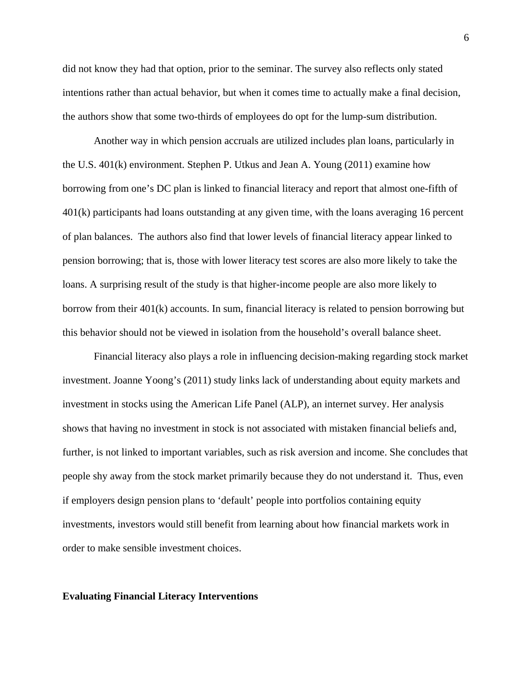did not know they had that option, prior to the seminar. The survey also reflects only stated intentions rather than actual behavior, but when it comes time to actually make a final decision, the authors show that some two-thirds of employees do opt for the lump-sum distribution.

Another way in which pension accruals are utilized includes plan loans, particularly in the U.S. 401(k) environment. Stephen P. Utkus and Jean A. Young (2011) examine how borrowing from one's DC plan is linked to financial literacy and report that almost one-fifth of 401(k) participants had loans outstanding at any given time, with the loans averaging 16 percent of plan balances. The authors also find that lower levels of financial literacy appear linked to pension borrowing; that is, those with lower literacy test scores are also more likely to take the loans. A surprising result of the study is that higher-income people are also more likely to borrow from their 401(k) accounts. In sum, financial literacy is related to pension borrowing but this behavior should not be viewed in isolation from the household's overall balance sheet.

Financial literacy also plays a role in influencing decision-making regarding stock market investment. Joanne Yoong's (2011) study links lack of understanding about equity markets and investment in stocks using the American Life Panel (ALP), an internet survey. Her analysis shows that having no investment in stock is not associated with mistaken financial beliefs and, further, is not linked to important variables, such as risk aversion and income. She concludes that people shy away from the stock market primarily because they do not understand it. Thus, even if employers design pension plans to 'default' people into portfolios containing equity investments, investors would still benefit from learning about how financial markets work in order to make sensible investment choices.

#### **Evaluating Financial Literacy Interventions**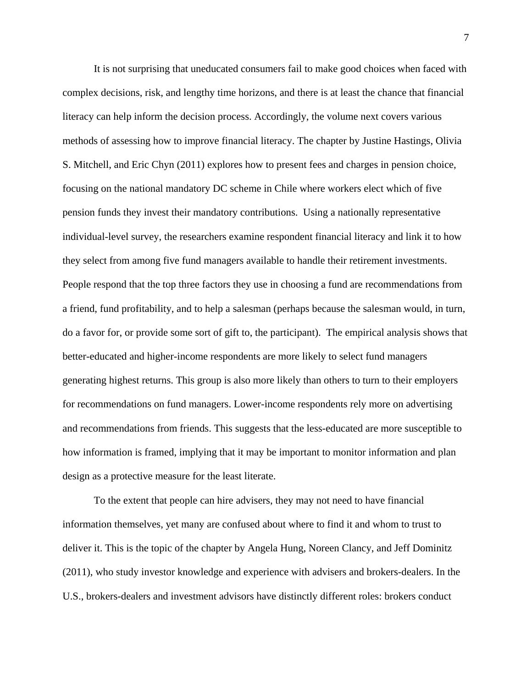It is not surprising that uneducated consumers fail to make good choices when faced with complex decisions, risk, and lengthy time horizons, and there is at least the chance that financial literacy can help inform the decision process. Accordingly, the volume next covers various methods of assessing how to improve financial literacy. The chapter by Justine Hastings, Olivia S. Mitchell, and Eric Chyn (2011) explores how to present fees and charges in pension choice, focusing on the national mandatory DC scheme in Chile where workers elect which of five pension funds they invest their mandatory contributions. Using a nationally representative individual-level survey, the researchers examine respondent financial literacy and link it to how they select from among five fund managers available to handle their retirement investments. People respond that the top three factors they use in choosing a fund are recommendations from a friend, fund profitability, and to help a salesman (perhaps because the salesman would, in turn, do a favor for, or provide some sort of gift to, the participant). The empirical analysis shows that better-educated and higher-income respondents are more likely to select fund managers generating highest returns. This group is also more likely than others to turn to their employers for recommendations on fund managers. Lower-income respondents rely more on advertising and recommendations from friends. This suggests that the less-educated are more susceptible to how information is framed, implying that it may be important to monitor information and plan design as a protective measure for the least literate.

To the extent that people can hire advisers, they may not need to have financial information themselves, yet many are confused about where to find it and whom to trust to deliver it. This is the topic of the chapter by Angela Hung, Noreen Clancy, and Jeff Dominitz (2011), who study investor knowledge and experience with advisers and brokers-dealers. In the U.S., brokers-dealers and investment advisors have distinctly different roles: brokers conduct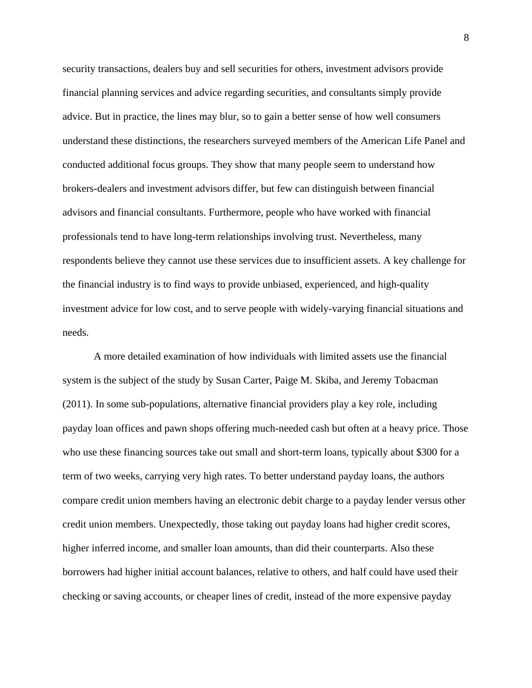security transactions, dealers buy and sell securities for others, investment advisors provide financial planning services and advice regarding securities, and consultants simply provide advice. But in practice, the lines may blur, so to gain a better sense of how well consumers understand these distinctions, the researchers surveyed members of the American Life Panel and conducted additional focus groups. They show that many people seem to understand how brokers-dealers and investment advisors differ, but few can distinguish between financial advisors and financial consultants. Furthermore, people who have worked with financial professionals tend to have long-term relationships involving trust. Nevertheless, many respondents believe they cannot use these services due to insufficient assets. A key challenge for the financial industry is to find ways to provide unbiased, experienced, and high-quality investment advice for low cost, and to serve people with widely-varying financial situations and needs.

A more detailed examination of how individuals with limited assets use the financial system is the subject of the study by Susan Carter, Paige M. Skiba, and Jeremy Tobacman (2011). In some sub-populations, alternative financial providers play a key role, including payday loan offices and pawn shops offering much-needed cash but often at a heavy price. Those who use these financing sources take out small and short-term loans, typically about \$300 for a term of two weeks, carrying very high rates. To better understand payday loans, the authors compare credit union members having an electronic debit charge to a payday lender versus other credit union members. Unexpectedly, those taking out payday loans had higher credit scores, higher inferred income, and smaller loan amounts, than did their counterparts. Also these borrowers had higher initial account balances, relative to others, and half could have used their checking or saving accounts, or cheaper lines of credit, instead of the more expensive payday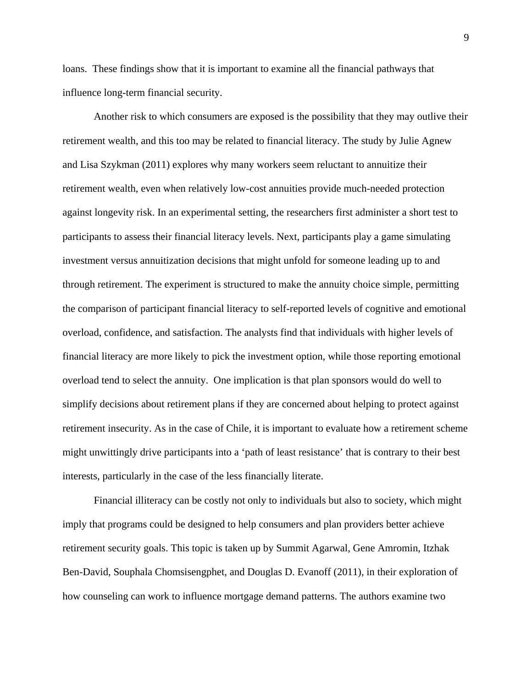loans. These findings show that it is important to examine all the financial pathways that influence long-term financial security.

Another risk to which consumers are exposed is the possibility that they may outlive their retirement wealth, and this too may be related to financial literacy. The study by Julie Agnew and Lisa Szykman (2011) explores why many workers seem reluctant to annuitize their retirement wealth, even when relatively low-cost annuities provide much-needed protection against longevity risk. In an experimental setting, the researchers first administer a short test to participants to assess their financial literacy levels. Next, participants play a game simulating investment versus annuitization decisions that might unfold for someone leading up to and through retirement. The experiment is structured to make the annuity choice simple, permitting the comparison of participant financial literacy to self-reported levels of cognitive and emotional overload, confidence, and satisfaction. The analysts find that individuals with higher levels of financial literacy are more likely to pick the investment option, while those reporting emotional overload tend to select the annuity. One implication is that plan sponsors would do well to simplify decisions about retirement plans if they are concerned about helping to protect against retirement insecurity. As in the case of Chile, it is important to evaluate how a retirement scheme might unwittingly drive participants into a 'path of least resistance' that is contrary to their best interests, particularly in the case of the less financially literate.

Financial illiteracy can be costly not only to individuals but also to society, which might imply that programs could be designed to help consumers and plan providers better achieve retirement security goals. This topic is taken up by Summit Agarwal, Gene Amromin, Itzhak Ben-David, Souphala Chomsisengphet, and Douglas D. Evanoff (2011), in their exploration of how counseling can work to influence mortgage demand patterns. The authors examine two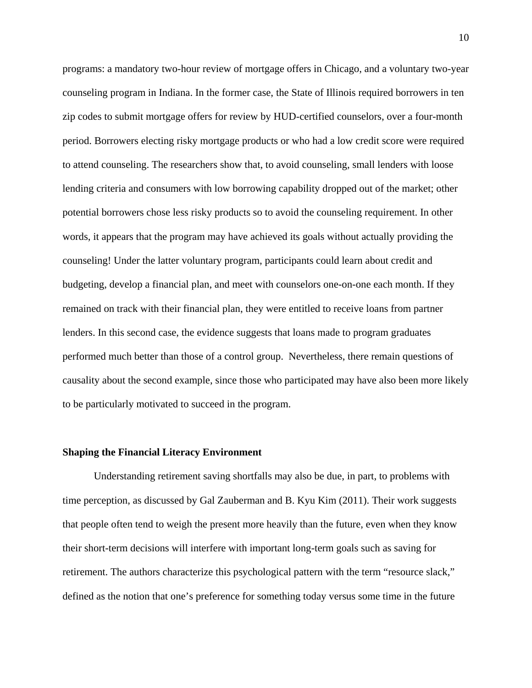programs: a mandatory two-hour review of mortgage offers in Chicago, and a voluntary two-year counseling program in Indiana. In the former case, the State of Illinois required borrowers in ten zip codes to submit mortgage offers for review by HUD-certified counselors, over a four-month period. Borrowers electing risky mortgage products or who had a low credit score were required to attend counseling. The researchers show that, to avoid counseling, small lenders with loose lending criteria and consumers with low borrowing capability dropped out of the market; other potential borrowers chose less risky products so to avoid the counseling requirement. In other words, it appears that the program may have achieved its goals without actually providing the counseling! Under the latter voluntary program, participants could learn about credit and budgeting, develop a financial plan, and meet with counselors one-on-one each month. If they remained on track with their financial plan, they were entitled to receive loans from partner lenders. In this second case, the evidence suggests that loans made to program graduates performed much better than those of a control group. Nevertheless, there remain questions of causality about the second example, since those who participated may have also been more likely to be particularly motivated to succeed in the program.

### **Shaping the Financial Literacy Environment**

Understanding retirement saving shortfalls may also be due, in part, to problems with time perception, as discussed by Gal Zauberman and B. Kyu Kim (2011). Their work suggests that people often tend to weigh the present more heavily than the future, even when they know their short-term decisions will interfere with important long-term goals such as saving for retirement. The authors characterize this psychological pattern with the term "resource slack," defined as the notion that one's preference for something today versus some time in the future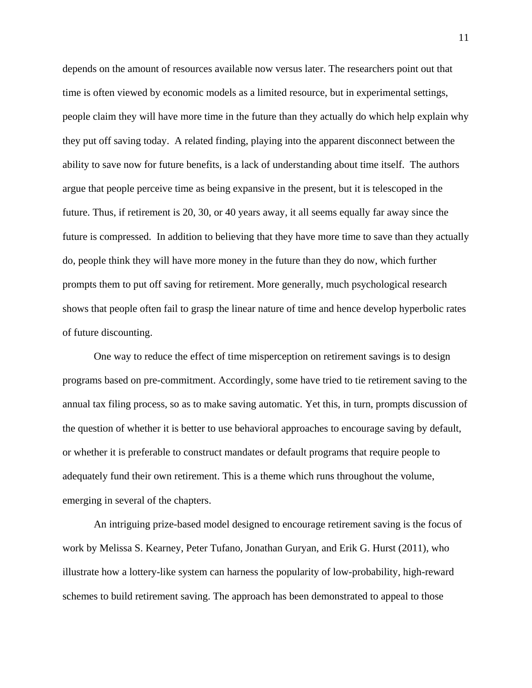depends on the amount of resources available now versus later. The researchers point out that time is often viewed by economic models as a limited resource, but in experimental settings, people claim they will have more time in the future than they actually do which help explain why they put off saving today. A related finding, playing into the apparent disconnect between the ability to save now for future benefits, is a lack of understanding about time itself. The authors argue that people perceive time as being expansive in the present, but it is telescoped in the future. Thus, if retirement is 20, 30, or 40 years away, it all seems equally far away since the future is compressed. In addition to believing that they have more time to save than they actually do, people think they will have more money in the future than they do now, which further prompts them to put off saving for retirement. More generally, much psychological research shows that people often fail to grasp the linear nature of time and hence develop hyperbolic rates of future discounting.

One way to reduce the effect of time misperception on retirement savings is to design programs based on pre-commitment. Accordingly, some have tried to tie retirement saving to the annual tax filing process, so as to make saving automatic. Yet this, in turn, prompts discussion of the question of whether it is better to use behavioral approaches to encourage saving by default, or whether it is preferable to construct mandates or default programs that require people to adequately fund their own retirement. This is a theme which runs throughout the volume, emerging in several of the chapters.

An intriguing prize-based model designed to encourage retirement saving is the focus of work by Melissa S. Kearney, Peter Tufano, Jonathan Guryan, and Erik G. Hurst (2011), who illustrate how a lottery-like system can harness the popularity of low-probability, high-reward schemes to build retirement saving. The approach has been demonstrated to appeal to those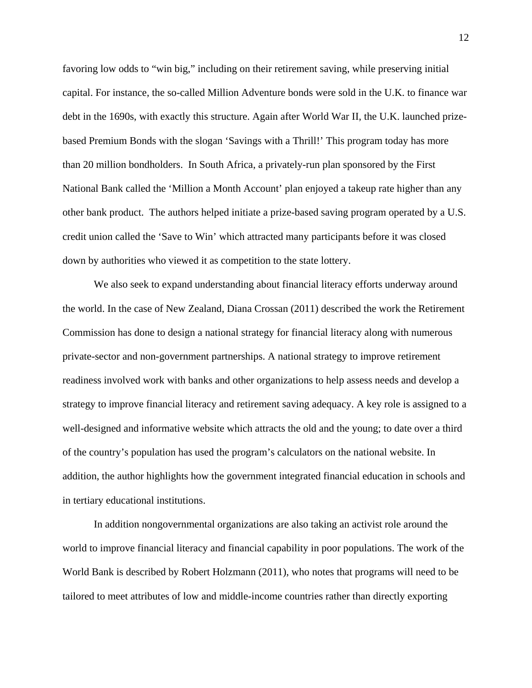favoring low odds to "win big," including on their retirement saving, while preserving initial capital. For instance, the so-called Million Adventure bonds were sold in the U.K. to finance war debt in the 1690s, with exactly this structure. Again after World War II, the U.K. launched prizebased Premium Bonds with the slogan 'Savings with a Thrill!' This program today has more than 20 million bondholders. In South Africa, a privately-run plan sponsored by the First National Bank called the 'Million a Month Account' plan enjoyed a takeup rate higher than any other bank product. The authors helped initiate a prize-based saving program operated by a U.S. credit union called the 'Save to Win' which attracted many participants before it was closed down by authorities who viewed it as competition to the state lottery.

We also seek to expand understanding about financial literacy efforts underway around the world. In the case of New Zealand, Diana Crossan (2011) described the work the Retirement Commission has done to design a national strategy for financial literacy along with numerous private-sector and non-government partnerships. A national strategy to improve retirement readiness involved work with banks and other organizations to help assess needs and develop a strategy to improve financial literacy and retirement saving adequacy. A key role is assigned to a well-designed and informative website which attracts the old and the young; to date over a third of the country's population has used the program's calculators on the national website. In addition, the author highlights how the government integrated financial education in schools and in tertiary educational institutions.

In addition nongovernmental organizations are also taking an activist role around the world to improve financial literacy and financial capability in poor populations. The work of the World Bank is described by Robert Holzmann (2011), who notes that programs will need to be tailored to meet attributes of low and middle-income countries rather than directly exporting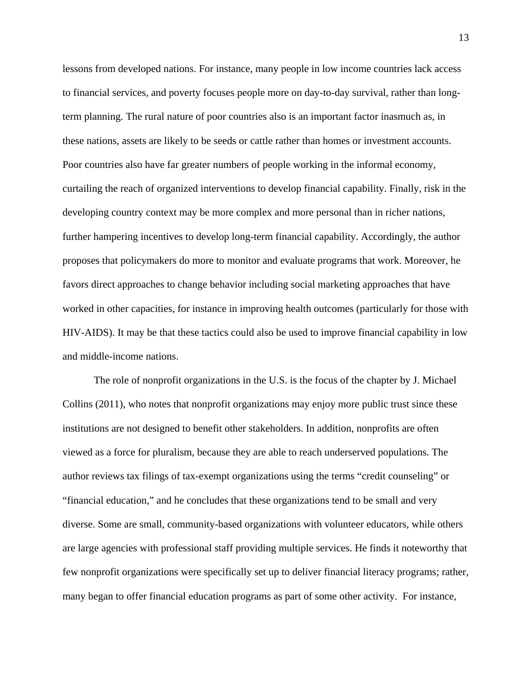lessons from developed nations. For instance, many people in low income countries lack access to financial services, and poverty focuses people more on day-to-day survival, rather than longterm planning. The rural nature of poor countries also is an important factor inasmuch as, in these nations, assets are likely to be seeds or cattle rather than homes or investment accounts. Poor countries also have far greater numbers of people working in the informal economy, curtailing the reach of organized interventions to develop financial capability. Finally, risk in the developing country context may be more complex and more personal than in richer nations, further hampering incentives to develop long-term financial capability. Accordingly, the author proposes that policymakers do more to monitor and evaluate programs that work. Moreover, he favors direct approaches to change behavior including social marketing approaches that have worked in other capacities, for instance in improving health outcomes (particularly for those with HIV-AIDS). It may be that these tactics could also be used to improve financial capability in low and middle-income nations.

The role of nonprofit organizations in the U.S. is the focus of the chapter by J. Michael Collins (2011), who notes that nonprofit organizations may enjoy more public trust since these institutions are not designed to benefit other stakeholders. In addition, nonprofits are often viewed as a force for pluralism, because they are able to reach underserved populations. The author reviews tax filings of tax-exempt organizations using the terms "credit counseling" or "financial education," and he concludes that these organizations tend to be small and very diverse. Some are small, community-based organizations with volunteer educators, while others are large agencies with professional staff providing multiple services. He finds it noteworthy that few nonprofit organizations were specifically set up to deliver financial literacy programs; rather, many began to offer financial education programs as part of some other activity. For instance,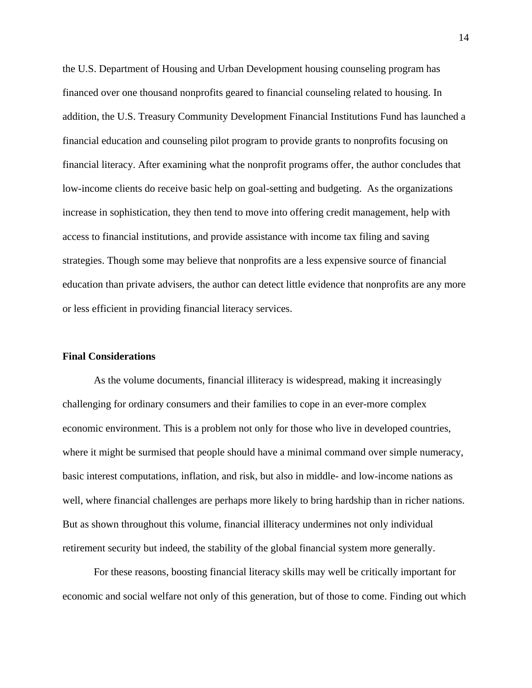the U.S. Department of Housing and Urban Development housing counseling program has financed over one thousand nonprofits geared to financial counseling related to housing. In addition, the U.S. Treasury Community Development Financial Institutions Fund has launched a financial education and counseling pilot program to provide grants to nonprofits focusing on financial literacy. After examining what the nonprofit programs offer, the author concludes that low-income clients do receive basic help on goal-setting and budgeting. As the organizations increase in sophistication, they then tend to move into offering credit management, help with access to financial institutions, and provide assistance with income tax filing and saving strategies. Though some may believe that nonprofits are a less expensive source of financial education than private advisers, the author can detect little evidence that nonprofits are any more or less efficient in providing financial literacy services.

#### **Final Considerations**

As the volume documents, financial illiteracy is widespread, making it increasingly challenging for ordinary consumers and their families to cope in an ever-more complex economic environment. This is a problem not only for those who live in developed countries, where it might be surmised that people should have a minimal command over simple numeracy, basic interest computations, inflation, and risk, but also in middle- and low-income nations as well, where financial challenges are perhaps more likely to bring hardship than in richer nations. But as shown throughout this volume, financial illiteracy undermines not only individual retirement security but indeed, the stability of the global financial system more generally.

For these reasons, boosting financial literacy skills may well be critically important for economic and social welfare not only of this generation, but of those to come. Finding out which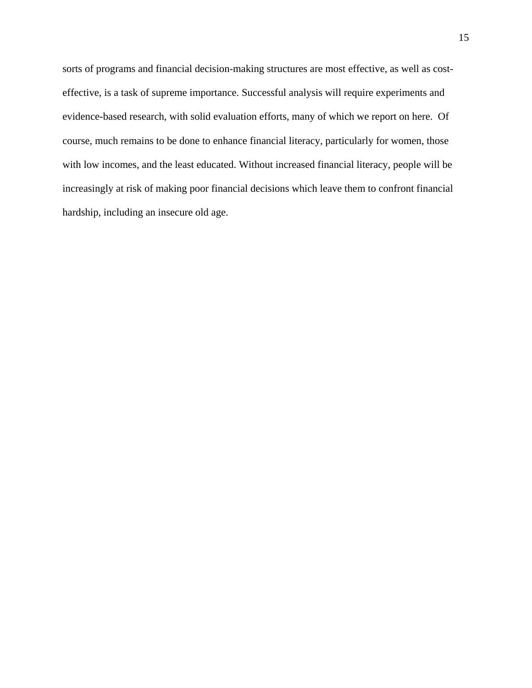sorts of programs and financial decision-making structures are most effective, as well as costeffective, is a task of supreme importance. Successful analysis will require experiments and evidence-based research, with solid evaluation efforts, many of which we report on here. Of course, much remains to be done to enhance financial literacy, particularly for women, those with low incomes, and the least educated. Without increased financial literacy, people will be increasingly at risk of making poor financial decisions which leave them to confront financial hardship, including an insecure old age.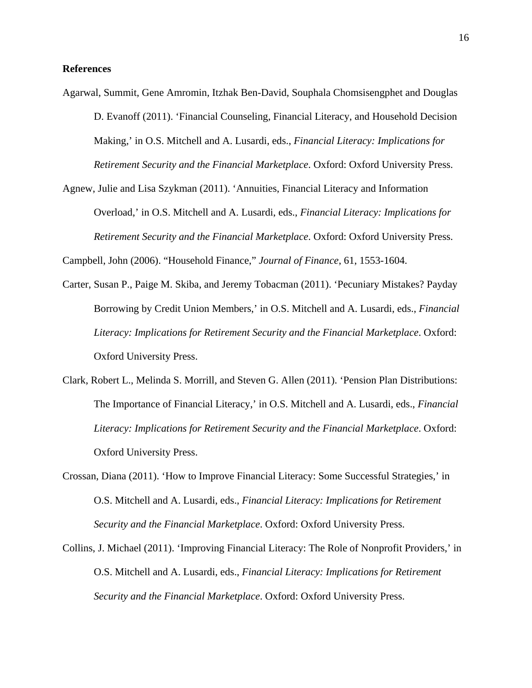## **References**

Agarwal, Summit, Gene Amromin, Itzhak Ben-David, Souphala Chomsisengphet and Douglas D. Evanoff (2011). 'Financial Counseling, Financial Literacy, and Household Decision Making,' in O.S. Mitchell and A. Lusardi, eds., *Financial Literacy: Implications for Retirement Security and the Financial Marketplace*. Oxford: Oxford University Press.

Agnew, Julie and Lisa Szykman (2011). 'Annuities, Financial Literacy and Information Overload,' in O.S. Mitchell and A. Lusardi, eds., *Financial Literacy: Implications for Retirement Security and the Financial Marketplace*. Oxford: Oxford University Press.

Campbell, John (2006). "Household Finance," *Journal of Finance*, 61, 1553-1604.

- Carter, Susan P., Paige M. Skiba, and Jeremy Tobacman (2011). 'Pecuniary Mistakes? Payday Borrowing by Credit Union Members,' in O.S. Mitchell and A. Lusardi, eds., *Financial Literacy: Implications for Retirement Security and the Financial Marketplace*. Oxford: Oxford University Press.
- Clark, Robert L., Melinda S. Morrill, and Steven G. Allen (2011). 'Pension Plan Distributions: The Importance of Financial Literacy,' in O.S. Mitchell and A. Lusardi, eds., *Financial Literacy: Implications for Retirement Security and the Financial Marketplace*. Oxford: Oxford University Press.
- Crossan, Diana (2011). 'How to Improve Financial Literacy: Some Successful Strategies,' in O.S. Mitchell and A. Lusardi, eds., *Financial Literacy: Implications for Retirement Security and the Financial Marketplace*. Oxford: Oxford University Press.
- Collins, J. Michael (2011). 'Improving Financial Literacy: The Role of Nonprofit Providers,' in O.S. Mitchell and A. Lusardi, eds., *Financial Literacy: Implications for Retirement Security and the Financial Marketplace*. Oxford: Oxford University Press.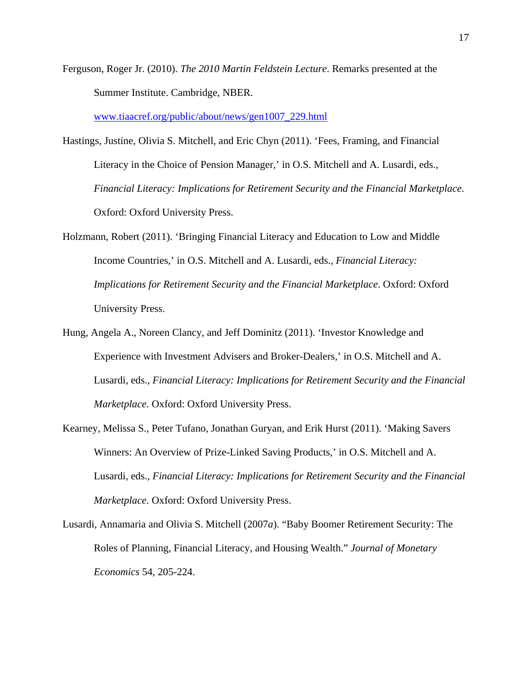Ferguson, Roger Jr. (2010). *The 2010 Martin Feldstein Lecture*. Remarks presented at the Summer Institute. Cambridge, NBER.

www.tiaacref.org/public/about/news/gen1007\_229.html

Hastings, Justine, Olivia S. Mitchell, and Eric Chyn (2011). 'Fees, Framing, and Financial Literacy in the Choice of Pension Manager,' in O.S. Mitchell and A. Lusardi, eds., *Financial Literacy: Implications for Retirement Security and the Financial Marketplace*. Oxford: Oxford University Press.

- Holzmann, Robert (2011). 'Bringing Financial Literacy and Education to Low and Middle Income Countries,' in O.S. Mitchell and A. Lusardi, eds., *Financial Literacy: Implications for Retirement Security and the Financial Marketplace*. Oxford: Oxford University Press.
- Hung, Angela A., Noreen Clancy, and Jeff Dominitz (2011). 'Investor Knowledge and Experience with Investment Advisers and Broker-Dealers,' in O.S. Mitchell and A. Lusardi, eds., *Financial Literacy: Implications for Retirement Security and the Financial Marketplace*. Oxford: Oxford University Press.
- Kearney, Melissa S., Peter Tufano, Jonathan Guryan, and Erik Hurst (2011). 'Making Savers Winners: An Overview of Prize-Linked Saving Products,' in O.S. Mitchell and A. Lusardi, eds., *Financial Literacy: Implications for Retirement Security and the Financial Marketplace*. Oxford: Oxford University Press.
- Lusardi, Annamaria and Olivia S. Mitchell (2007*a*). "Baby Boomer Retirement Security: The Roles of Planning, Financial Literacy, and Housing Wealth." *Journal of Monetary Economics* 54, 205-224.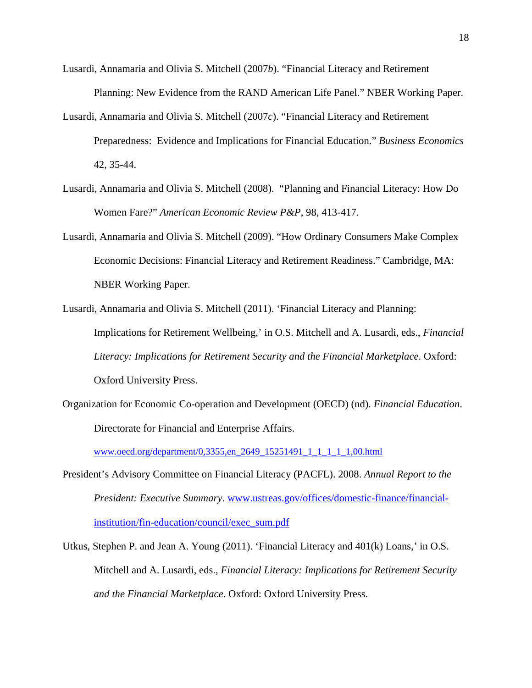- Lusardi, Annamaria and Olivia S. Mitchell (2007*b*). "Financial Literacy and Retirement Planning: New Evidence from the RAND American Life Panel." NBER Working Paper.
- Lusardi, Annamaria and Olivia S. Mitchell (2007*c*). "Financial Literacy and Retirement Preparedness: Evidence and Implications for Financial Education." *Business Economics* 42, 35-44.
- Lusardi, Annamaria and Olivia S. Mitchell (2008). "Planning and Financial Literacy: How Do Women Fare?" *American Economic Review P&P*, 98, 413-417.
- Lusardi, Annamaria and Olivia S. Mitchell (2009). "How Ordinary Consumers Make Complex Economic Decisions: Financial Literacy and Retirement Readiness." Cambridge, MA: NBER Working Paper.
- Lusardi, Annamaria and Olivia S. Mitchell (2011). 'Financial Literacy and Planning: Implications for Retirement Wellbeing,' in O.S. Mitchell and A. Lusardi, eds., *Financial Literacy: Implications for Retirement Security and the Financial Marketplace*. Oxford: Oxford University Press.
- Organization for Economic Co-operation and Development (OECD) (nd). *Financial Education*. Directorate for Financial and Enterprise Affairs.

www.oecd.org/department/0,3355,en\_2649\_15251491\_1\_1\_1\_1\_1,00.html

- President's Advisory Committee on Financial Literacy (PACFL). 2008. *Annual Report to the President: Executive Summary*. www.ustreas.gov/offices/domestic-finance/financialinstitution/fin-education/council/exec\_sum.pdf
- Utkus, Stephen P. and Jean A. Young (2011). 'Financial Literacy and 401(k) Loans,' in O.S. Mitchell and A. Lusardi, eds., *Financial Literacy: Implications for Retirement Security and the Financial Marketplace*. Oxford: Oxford University Press.